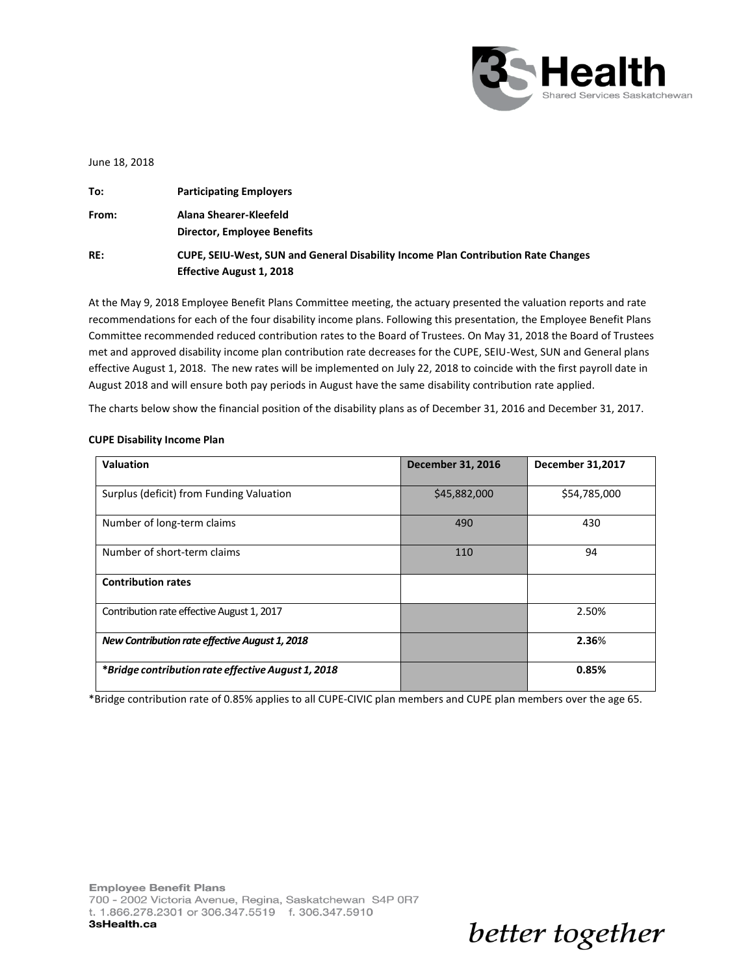

better together

June 18, 2018

| To:   | <b>Participating Employers</b>                                                                                                 |
|-------|--------------------------------------------------------------------------------------------------------------------------------|
| From: | Alana Shearer-Kleefeld                                                                                                         |
| RE:   | <b>Director, Employee Benefits</b><br><b>CUPE, SEIU-West, SUN and General Disability Income Plan Contribution Rate Changes</b> |
|       | <b>Effective August 1, 2018</b>                                                                                                |

At the May 9, 2018 Employee Benefit Plans Committee meeting, the actuary presented the valuation reports and rate recommendations for each of the four disability income plans. Following this presentation, the Employee Benefit Plans Committee recommended reduced contribution rates to the Board of Trustees. On May 31, 2018 the Board of Trustees met and approved disability income plan contribution rate decreases for the CUPE, SEIU-West, SUN and General plans effective August 1, 2018. The new rates will be implemented on July 22, 2018 to coincide with the first payroll date in August 2018 and will ensure both pay periods in August have the same disability contribution rate applied.

The charts below show the financial position of the disability plans as of December 31, 2016 and December 31, 2017.

| <b>Valuation</b>                                   | <b>December 31, 2016</b> | <b>December 31,2017</b> |
|----------------------------------------------------|--------------------------|-------------------------|
| Surplus (deficit) from Funding Valuation           | \$45,882,000             | \$54,785,000            |
| Number of long-term claims                         | 490                      | 430                     |
| Number of short-term claims                        | 110                      | 94                      |
| <b>Contribution rates</b>                          |                          |                         |
| Contribution rate effective August 1, 2017         |                          | 2.50%                   |
| New Contribution rate effective August 1, 2018     |                          | 2.36%                   |
| *Bridge contribution rate effective August 1, 2018 |                          | 0.85%                   |

### **CUPE Disability Income Plan**

\*Bridge contribution rate of 0.85% applies to all CUPE-CIVIC plan members and CUPE plan members over the age 65.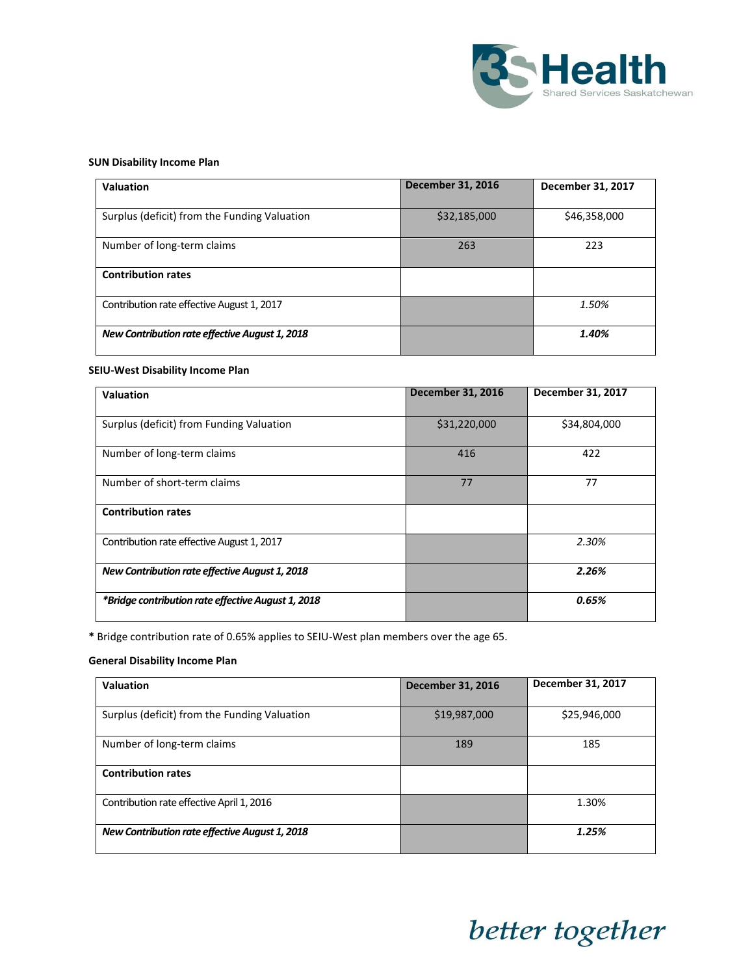

## **SUN Disability Income Plan**

| <b>Valuation</b>                               | <b>December 31, 2016</b> | December 31, 2017 |
|------------------------------------------------|--------------------------|-------------------|
| Surplus (deficit) from the Funding Valuation   | \$32,185,000             | \$46,358,000      |
| Number of long-term claims                     | 263                      | 223               |
| <b>Contribution rates</b>                      |                          |                   |
| Contribution rate effective August 1, 2017     |                          | 1.50%             |
| New Contribution rate effective August 1, 2018 |                          | 1.40%             |

### **SEIU-West Disability Income Plan**

| <b>Valuation</b>                                   | <b>December 31, 2016</b> | December 31, 2017 |
|----------------------------------------------------|--------------------------|-------------------|
|                                                    |                          |                   |
| Surplus (deficit) from Funding Valuation           | \$31,220,000             | \$34,804,000      |
| Number of long-term claims                         | 416                      | 422               |
| Number of short-term claims                        | 77                       | 77                |
| <b>Contribution rates</b>                          |                          |                   |
| Contribution rate effective August 1, 2017         |                          | 2.30%             |
| New Contribution rate effective August 1, 2018     |                          | 2.26%             |
| *Bridge contribution rate effective August 1, 2018 |                          | 0.65%             |

**\*** Bridge contribution rate of 0.65% applies to SEIU-West plan members over the age 65.

## **General Disability Income Plan**

| Valuation                                      | <b>December 31, 2016</b> | December 31, 2017 |
|------------------------------------------------|--------------------------|-------------------|
|                                                |                          |                   |
| Surplus (deficit) from the Funding Valuation   | \$19,987,000             | \$25,946,000      |
| Number of long-term claims                     | 189                      | 185               |
| <b>Contribution rates</b>                      |                          |                   |
| Contribution rate effective April 1, 2016      |                          | 1.30%             |
| New Contribution rate effective August 1, 2018 |                          | 1.25%             |

# better together